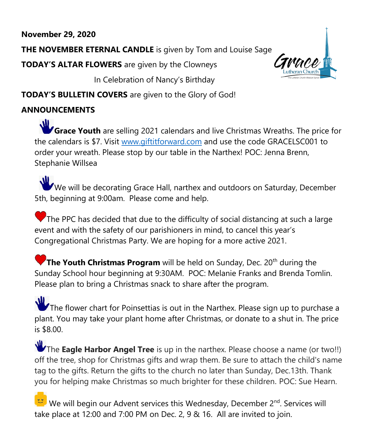# **November 29, 2020**

**THE NOVEMBER ETERNAL CANDLE** is given by Tom and Louise Sage

**TODAY'S ALTAR FLOWERS** are given by the Clowneys

In Celebration of Nancy's Birthday

**TODAY'S BULLETIN COVERS** are given to the Glory of God!

# **ANNOUNCEMENTS**

 $\mathbf{u}$ **Grace Youth** are selling 2021 calendars and live Christmas Wreaths. The price for the calendars is \$7. Visit [www.giftitforward.com](http://www.giftitforward.com/) and use the code GRACELSC001 to order your wreath. Please stop by our table in the Narthex! POC: Jenna Brenn, Stephanie Willsea

We will be decorating Grace Hall, narthex and outdoors on Saturday, December 5th, beginning at 9:00am. Please come and help.

The PPC has decided that due to the difficulty of social distancing at such a large event and with the safety of our parishioners in mind, to cancel this year's Congregational Christmas Party. We are hoping for a more active 2021.

**The Youth Christmas Program** will be held on Sunday, Dec. 20<sup>th</sup> during the Sunday School hour beginning at 9:30AM. POC: Melanie Franks and Brenda Tomlin. Please plan to bring a Christmas snack to share after the program.

**W** The flower chart for Poinsettias is out in the Narthex. Please sign up to purchase a plant. You may take your plant home after Christmas, or donate to a shut in. The price is \$8.00.

The **Eagle Harbor Angel Tree** is up in the narthex. Please choose a name (or two!!) off the tree, shop for Christmas gifts and wrap them. Be sure to attach the child's name tag to the gifts. Return the gifts to the church no later than Sunday, Dec.13th. Thank you for helping make Christmas so much brighter for these children. POC: Sue Hearn.

We will begin our Advent services this Wednesday, December 2<sup>nd</sup>. Services will take place at 12:00 and 7:00 PM on Dec. 2, 9 & 16. All are invited to join.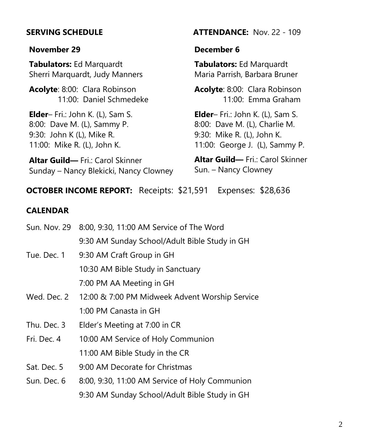#### **November 29**

**Tabulators:** Ed Marquardt Sherri Marquardt, Judy Manners

**Acolyte**: 8:00: Clara Robinson 11:00: Daniel Schmedeke

**Elder**– Fri.: John K. (L), Sam S. 8:00: Dave M. (L), Sammy P. 9:30: John K (L), Mike R. 11:00: Mike R. (L), John K.

**Altar Guild—** Fri.: Carol Skinner Sunday – Nancy Blekicki, Nancy Clowney

#### **SERVING SCHEDULE ATTENDANCE:** Nov. 22 - 109

#### **December 6**

**Tabulators:** Ed Marquardt Maria Parrish, Barbara Bruner

**Acolyte**: 8:00: Clara Robinson 11:00: Emma Graham

**Elder**– Fri.: John K. (L), Sam S. 8:00: Dave M. (L), Charlie M. 9:30: Mike R. (L), John K. 11:00: George J. (L), Sammy P.

**Altar Guild—** Fri.: Carol Skinner Sun. – Nancy Clowney

### **OCTOBER INCOME REPORT:** Receipts: \$21,591 Expenses: \$28,636

#### **CALENDAR**

| Sun. Nov. 29 | 8:00, 9:30, 11:00 AM Service of The Word       |
|--------------|------------------------------------------------|
|              | 9:30 AM Sunday School/Adult Bible Study in GH  |
| Tue. Dec. 1  | 9:30 AM Craft Group in GH                      |
|              | 10:30 AM Bible Study in Sanctuary              |
|              | 7:00 PM AA Meeting in GH                       |
| Wed. Dec. 2  | 12:00 & 7:00 PM Midweek Advent Worship Service |
|              | 1:00 PM Canasta in GH                          |
| Thu. Dec. 3  | Elder's Meeting at 7:00 in CR                  |
| Fri. Dec. 4  | 10:00 AM Service of Holy Communion             |
|              | 11:00 AM Bible Study in the CR                 |
| Sat. Dec. 5  | 9:00 AM Decorate for Christmas                 |
| Sun. Dec. 6  | 8:00, 9:30, 11:00 AM Service of Holy Communion |
|              | 9:30 AM Sunday School/Adult Bible Study in GH  |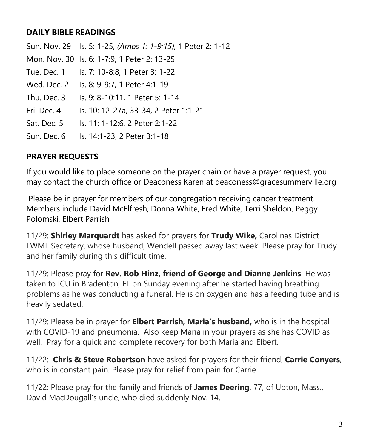## **DAILY BIBLE READINGS**

Sun. Nov. 29 Is. 5: 1-25, *(Amos 1: 1-9:15),* 1 Peter 2: 1-12 Mon. Nov. 30 Is. 6: 1-7:9, 1 Peter 2: 13-25 Tue. Dec. 1 Is. 7: 10-8:8, 1 Peter 3: 1-22 Wed. Dec. 2 Is. 8: 9-9:7, 1 Peter 4:1-19 Thu. Dec. 3 Is. 9: 8-10:11, 1 Peter 5: 1-14 Fri. Dec. 4 Is. 10: 12-27a, 33-34, 2 Peter 1:1-21 Sat. Dec. 5 Is. 11: 1-12:6, 2 Peter 2:1-22 Sun. Dec. 6 Is. 14:1-23, 2 Peter 3:1-18

# **PRAYER REQUESTS**

If you would like to place someone on the prayer chain or have a prayer request, you may contact the church office or Deaconess Karen at deaconess@gracesummerville.org

Please be in prayer for members of our congregation receiving cancer treatment. Members include David McElfresh, Donna White, Fred White, Terri Sheldon, Peggy Polomski, Elbert Parrish

11/29: **Shirley Marquardt** has asked for prayers for **Trudy Wike,** Carolinas District LWML Secretary, whose husband, Wendell passed away last week. Please pray for Trudy and her family during this difficult time.

11/29: Please pray for **Rev. Rob Hinz, friend of George and Dianne Jenkins**. He was taken to ICU in Bradenton, FL on Sunday evening after he started having breathing problems as he was conducting a funeral. He is on oxygen and has a feeding tube and is heavily sedated.

11/29: Please be in prayer for **Elbert Parrish, Maria's husband,** who is in the hospital with COVID-19 and pneumonia. Also keep Maria in your prayers as she has COVID as well. Pray for a quick and complete recovery for both Maria and Elbert.

11/22: **Chris & Steve Robertson** have asked for prayers for their friend, **Carrie Conyers**, who is in constant pain. Please pray for relief from pain for Carrie.

11/22: Please pray for the family and friends of **James Deering**, 77, of Upton, Mass., David MacDougall's uncle, who died suddenly Nov. 14.